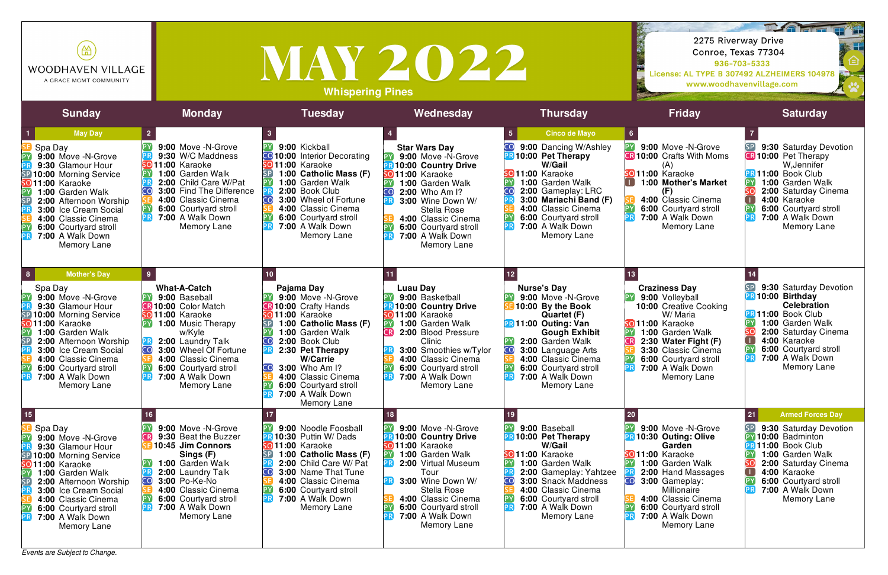*Events are Subject to Change.*

| 笽<br><b>WOODHAVEN VILLAGE</b><br>A GRACE MGMT COMMUNITY                                                                                                                                                                                                                                                                                                |                                                                                                                                                                                                                                                                                         | <b>MAY 2022</b><br><b>Whispering Pines</b>                                                                                                                                                                                                                                                   | DATE<br>2275 Riverway Drive<br>Conroe, Texas 77304<br>936-703-5333<br>License: AL TYPE B 307492 ALZHEIMERS 104978<br>www.woodhavenvillage.com                                                                                                                     |                                                                                                                                                                                                                                                                             |                                                                                                                                                                                                                                                           |                                                                                                                                                                                                                                                  |
|--------------------------------------------------------------------------------------------------------------------------------------------------------------------------------------------------------------------------------------------------------------------------------------------------------------------------------------------------------|-----------------------------------------------------------------------------------------------------------------------------------------------------------------------------------------------------------------------------------------------------------------------------------------|----------------------------------------------------------------------------------------------------------------------------------------------------------------------------------------------------------------------------------------------------------------------------------------------|-------------------------------------------------------------------------------------------------------------------------------------------------------------------------------------------------------------------------------------------------------------------|-----------------------------------------------------------------------------------------------------------------------------------------------------------------------------------------------------------------------------------------------------------------------------|-----------------------------------------------------------------------------------------------------------------------------------------------------------------------------------------------------------------------------------------------------------|--------------------------------------------------------------------------------------------------------------------------------------------------------------------------------------------------------------------------------------------------|
| <b>Sunday</b>                                                                                                                                                                                                                                                                                                                                          | <b>Monday</b>                                                                                                                                                                                                                                                                           | <b>Tuesday</b>                                                                                                                                                                                                                                                                               | Wednesday                                                                                                                                                                                                                                                         | <b>Thursday</b>                                                                                                                                                                                                                                                             | <b>Friday</b>                                                                                                                                                                                                                                             | <b>Saturday</b>                                                                                                                                                                                                                                  |
| <b>May Day</b><br>Spa Day<br>9:00 Move -N-Grove<br>9:30 Glamour Hour<br>10:00 Morning Service<br><b>SO11:00 Karaoke</b><br>1:00 Garden Walk<br><b>SF</b><br>2:00 Afternoon Worship<br>3:00 Ice Cream Social<br>4:00 Classic Cinema<br>6:00 Courtyard stroll<br>7:00 A Walk Down<br>Memory Lane                                                         | 9:00 Move -N-Grove<br>9:30 W/C Maddness<br>SO <sub>11:00</sub> Karaoke<br>1:00 Garden Walk<br>2:00 Child Care W/Pat<br><b>3:00 Find The Difference</b><br>CO)<br>4:00 Classic Cinema<br>6:00 Courtyard stroll<br>7:00 A Walk Down<br>Memory Lane                                        | 9:00 Kickball<br><b>CO</b> 10:00 Interior Decorating<br>so 11:00 Karaoke<br>1:00 Catholic Mass (F)<br>1:00 Garden Walk<br>2:00 Book Club<br>3:00 Wheel of Fortune<br>4:00 Classic Cinema<br>6:00 Courtyard stroll<br>7:00 A Walk Down<br>Memory Lane                                         | <b>Star Wars Day</b><br>9:00 Move -N-Grove<br>10:00 Country Drive<br>011:00 Karaoke<br>1:00 Garden Walk<br>2:00 Who Am I?<br>3:00 Wine Down W/<br><b>Stella Rose</b><br>4:00 Classic Cinema<br>6:00 Courtyard stroll<br>7:00 A Walk Down<br>Memory Lane           | <b>Cinco de Mayo</b><br>9:00 Dancing W/Ashley<br>10:00 Pet Therapy<br>W/Gail<br><b>SO11:00 Karaoke</b><br>1:00 Garden Walk<br>2:00 Gameplay: LRC<br>3:00 Mariachi Band (F)<br>4:00 Classic Cinema<br>6:00 Courtyard stroll<br>7:00 A Walk Down<br>Memory Lane               | 9:00 Move -N-Grove<br><b>R 10:00</b> Crafts With Moms<br>(A)<br><b>so</b> 11:00 Karaoke<br>1:00 Mother's Market<br>(F)<br>4:00 Classic Cinema<br>6:00 Courtyard stroll<br>7:00 A Walk Down<br>Memory Lane                                                 | 9:30 Saturday Devotion<br><b>B</b> 10:00 Pet Therapy<br>W, Jennifer<br><b>BR</b> 11:00 Book Club<br>[PY]<br>1:00 Garden Walk<br>2:00 Saturday Cinema<br>4:00 Karaoke<br>6:00 Courtyard stroll<br>7:00 A Walk Down<br>Memory Lane                 |
| <b>Mother's Day</b><br>$\vert 8 \vert$<br>Spa Day<br>9:00 Move -N-Grove<br>PΥ<br>9:30 Glamour Hour<br>SP<br>10:00 Morning Service<br><b>SO</b> 11:00 Karaoke<br>1:00 Garden Walk<br>SP<br>2:00 Afternoon Worship<br>3:00 Ice Cream Social<br>4:00 Classic Cinema<br>$\mathsf{P}$<br>6:00 Courtyard stroll<br>PF<br>7:00 A Walk Down<br>Memory Lane     | 9<br><b>What-A-Catch</b><br>9:00 Baseball<br><b>CR 10:00 Color Match</b><br><b>SO11:00 Karaoke</b><br><b>1:00 Music Therapy</b><br>w/Kyle<br>2:00 Laundry Talk<br>CO<br>3:00 Wheel Of Fortune<br>4:00 Classic Cinema<br>6:00 Courtyard stroll<br>7:00 A Walk Down<br>PR.<br>Memory Lane | Pajama Day<br>9:00 Move -N-Grove<br>10:00 Crafty Hands<br>$5011:00$ Karaoke<br>1:00 Catholic Mass (F)<br>1:00 Garden Walk<br>2:00 Book Club<br>CO<br>2:30 Pet Therapy<br>W/Carrie<br>CO<br>3:00 Who Am I?<br>4:00 Classic Cinema<br>6:00 Courtyard stroll<br>7:00 A Walk Down<br>Memory Lane | <b>Luau Day</b><br>9:00 Basketball<br><b>10:00 Country Drive</b><br>5011:00 Karaoke<br>1:00 Garden Walk<br>CR<br>2:00 Blood Pressure<br>Clinic<br>3:00 Smoothies w/Tylor<br>4:00 Classic Cinema<br>6:00 Courtyard stroll<br>7:00 A Walk Down<br>Memory Lane       | 12<br><b>Nurse's Day</b><br>9:00 Move -N-Grove<br>10:00 By the Book<br>Quartet (F)<br><b>PR11:00 Outing: Van</b><br><b>Gough Exhibit</b><br>2:00 Garden Walk<br>3:00 Language Arts<br>CO<br>4:00 Classic Cinema<br>6:00 Courtyard stroll<br>7:00 A Walk Down<br>Memory Lane | <b>Craziness Day</b><br>9:00 Volleyball<br><b>10:00 Creative Cooking</b><br>W/ Maria<br>SO <sub>11:00</sub> Karaoke<br>1:00 Garden Walk<br>2:30 Water Fight (F)<br>3:30 Classic Cinema<br>6:00 Courtyard stroll<br>7:00 A Walk Down<br><b>Memory Lane</b> | 9:30 Saturday Devotion<br><b>R10:00 Birthday</b><br><b>Celebration</b><br><b>PR 11:00 Book Club</b><br>1:00 Garden Walk<br>2:00 Saturday Cinema<br>4:00 Karaoke<br>$\Box$<br>6:00 Courtyard stroll<br>7:00 A Walk Down<br>Memory Lane            |
| 15<br>Spa Day<br>$\mathsf{P}'$<br>9:00 Move -N-Grove<br>9:30 Glamour Hour<br>SP<br>10:00 Morning Service<br>SO <sub>11:00</sub> Karaoke<br>P١<br>1:00 Garden Walk<br>$\overline{\mathsf{SP}}$<br>2:00 Afternoon Worship<br><b>3:00 Ice Cream Social</b><br>4:00 Classic Cinema<br>6:00 Courtyard stroll<br><b>p</b><br>7:00 A Walk Down<br>Memory Lane | 9:00 Move -N-Grove<br>9:30 Beat the Buzzer<br>CRI<br>10:45 Jim Connors<br>Sings (F)<br>1:00 Garden Walk<br>2:00 Laundry Talk<br>3:00 Po-Ke-No<br>CO<br>4:00 Classic Cinema<br>6:00 Courtyard stroll<br>7:00 A Walk Down<br>PR.<br><b>Memory Lane</b>                                    | 9:00 Noodle Foosball<br>10:30 Puttin W/Dads<br>SO 11:00 Karaoke<br>1:00 Catholic Mass (F)<br>2:00 Child Care W/ Pat<br>CO<br><b>3:00 Name That Tune</b><br>4:00 Classic Cinema<br>6:00 Courtyard stroll<br>7:00 A Walk Down<br>Memory Lane                                                   | 9:00 Move -N-Grove<br><b>10:00 Country Drive</b><br><b>O11:00 Karaoke</b><br>1:00 Garden Walk<br>2:00 Virtual Museum<br>Tour<br>3:00 Wine Down W/<br><b>Stella Rose</b><br>4:00 Classic Cinema<br>6:00 Courtyard stroll<br>7:00 A Walk Down<br><b>Memory Lane</b> | 9:00 Baseball<br>10:00 Pet Therapy<br>W/Gail<br><b>SO11:00 Karaoke</b><br>1:00 Garden Walk<br>2:00 Gameplay: Yahtzee<br><b>3:00 Snack Maddness</b><br>4:00 Classic Cinema<br>6:00 Courtyard stroll<br>7:00 A Walk Down<br>Memory Lane                                       | 9:00 Move -N-Grove<br>10:30 Outing: Olive<br>Garden<br>SO 11:00 Karaoke<br>1:00 Garden Walk<br>2:00 Hand Massages<br>3:00 Gameplay:<br><b>CO</b><br>Millionaire<br>4:00 Classic Cinema<br>6:00 Courtyard stroll<br>7:00 A Walk Down<br><b>Memory Lane</b> | 21<br><b>Armed Forces Day</b><br>9:30 Saturday Devotion<br>PY 10:00 Badminton<br><b>R11:00 Book Club</b><br>1:00 Garden Walk<br>2:00 Saturday Cinema<br>$\Box$<br>4:00 Karaoke<br>6:00 Courtyard stroll<br>7:00 A Walk Down<br>PR<br>Memory Lane |